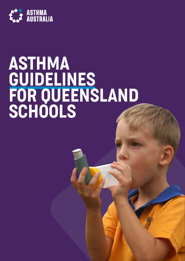

# ASTHMA GUIDELINES FOR QUEENSLAND SCHOOLS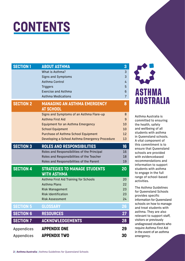

| <b>SECTION 1</b> | <b>ABOUT ASTHMA</b>                                     | 3              |
|------------------|---------------------------------------------------------|----------------|
|                  | What is Asthma?                                         | 3              |
|                  | <b>Signs and Symptoms</b>                               | 3              |
|                  | <b>Asthma Control</b>                                   | 4              |
|                  | <b>Triggers</b>                                         | 5              |
|                  | <b>Exercise and Asthma</b>                              | 6              |
|                  | <b>Asthma Medications</b>                               | $\overline{7}$ |
| <b>SECTION 2</b> | <b>MANAGING AN ASTHMA EMERGENCY</b><br><b>AT SCHOOL</b> | 8              |
|                  | Signs and Symptoms of an Asthma Flare-up                | 8              |
|                  | <b>Asthma First Aid</b>                                 | 9              |
|                  | <b>Equipment for an Asthma Emergency</b>                | 10             |
|                  | <b>School Equipment</b>                                 | 10             |
|                  | <b>Purchase of Asthma School Equipment</b>              | 12             |
|                  | Developing a School Asthma Emergency Procedure          | 13             |
| <b>SECTION 3</b> | ROLES AND RESPONSIBILITIES                              | 16             |
|                  | Roles and Responsibilities of the Principal             | 16             |
|                  | Roles and Responsibilities of the Teacher               | 18             |
|                  | Roles and Responsibilities of the Parent                | 19             |
| <b>SECTION 4</b> | <b>STRATEGIES TO MANAGE STUDENTS</b>                    | 20             |
|                  | <b>WITH ASTHMA</b>                                      |                |
|                  | Asthma First Aid Training for Schools                   | 20             |
|                  | <b>Asthma Plans</b>                                     | 22             |
|                  | <b>Risk Management</b>                                  | 23             |
|                  | <b>Risk Identification</b>                              | 23             |
|                  | <b>Risk Assessment</b>                                  | 24             |
| <b>SECTION 5</b> | <b>GLOSSARY</b>                                         | 26             |
| <b>SECTION 6</b> | <b>RESOURCES</b>                                        | 27             |
| <b>SECTION 7</b> | <b>ACKNOWLEDGEMENTS</b>                                 | 28             |
| Appendices       | <b>APPENDIX ONE</b>                                     | 29             |
| Appendices       | <b>APPENDIX TWO</b>                                     | 30             |



Asthma Australia is committed to ensuring the health, safety and wellbeing of all students with asthma in Queensland schools. A vital component of this commitment is to ensure that Queensland schools are provided with evidencebased recommendations and information to support students with asthma to engage in the full range of school-based activities.

The Asthma Guidelines for Queensland Schools provides specific information for Queensland schools on how to manage and treat students with asthma. They are also relevant to support staff, visitors or previously undiagnosed students who require Asthma First Aid in the event of an asthma emergency.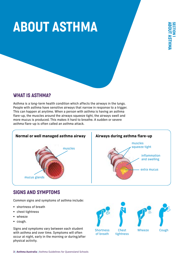# <span id="page-2-0"></span>ABOUT ASTHMA



## WHAT IS ASTHMA?

Asthma is a long-term health condition which affects the airways in the lungs. People with asthma have sensitive airways that narrow in response to a trigger. This can happen at anytime. When a person with asthma is having an asthma flare-up, the muscles around the airways squeeze tight, the airways swell and more mucus is produced. This makes it hard to breathe. A sudden or severe asthma flare-up is often called an asthma attack.



## SIGNS AND SYMPTOMS

Common signs and symptoms of asthma include:

- § shortness of breath
- § chest tightness
- § wheeze
- § cough.

Signs and symptoms vary between each student with asthma and over time. Symptoms will often occur at night, early in the morning or during/after physical activity.







## of breath tightness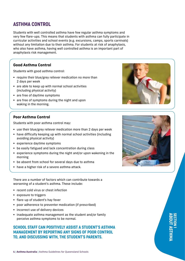## <span id="page-3-0"></span>ASTHMA CONTROL

Students with well controlled asthma have few regular asthma symptoms and very few flare-ups. This means that students with asthma can fully participate in curricular activities and school events (e.g. excursions, camps, sports carnivals) without any limitation due to their asthma. For students at risk of anaphylaxis, who also have asthma, having well controlled asthma is an important part of anaphylaxis risk management.

## **Good Asthma Control**

Students with good asthma control:

- require their blue/grey reliever medication no more than 2 days per week
- § are able to keep up with normal school activities (including physical activity)
- are free of daytime symptoms
- are free of symptoms during the night and upon waking in the morning.

## **Poor Asthma Control**

Students with poor asthma control may:

- use their blue/grey reliever medication more than 2 days per week
- § have difficulty keeping up with normal school activities (including avoiding physical activity)
- § experience daytime symptoms
- be easily fatigued and lack concentration during class
- experience symptoms during the night and/or upon wakening in the morning
- be absent from school for several days due to asthma
- have a higher risk of a severe asthma attack.

There are a number of factors which can contribute towards a worsening of a student's asthma. These include:

- recent cold virus or chest infection
- § exposure to triggers
- § flare-up of student's hay fever
- § poor adherence to preventer medication (if prescribed)
- incorrect use of delivery devices
- inadequate asthma management as the student and/or family perceive asthma symptoms to be normal.

## SCHOOL STAFF CAN POSITIVELY ASSIST A STUDENT'S ASTHMA MANAGEMENT BY REPORTING ANY SIGNS OF POOR CONTROL TO, AND DISCUSSING WITH, THE STUDENT'S PARENTS.





ABOUT ASTHMA

SECTION 1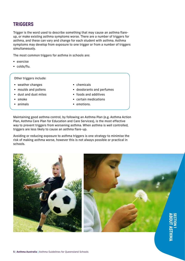## <span id="page-4-0"></span>TRIGGERS

Trigger is the word used to describe something that may cause an asthma flareup, or make existing asthma symptoms worse. There are a number of triggers for asthma, and these can vary and change for each student with asthma. Asthma symptoms may develop from exposure to one trigger or from a number of triggers simultaneously.

The most common triggers for asthma in schools are:

- § exercise
- colds/flu.

Other triggers include:

- § weather changes
- § moulds and pollens
- § dust and dust mites
- § smoke
- § animals
- chemicals
- § deodorants and perfumes
- § foods and additives
- certain medications
- emotions.

Maintaining good asthma control, by following an Asthma Plan (e.g. Asthma Action Plan, Asthma Care Plan for Education and Care Services), is the most effective way to prevent triggers from worsening asthma. When asthma is well controlled, triggers are less likely to cause an asthma flare-up.

Avoiding or reducing exposure to asthma triggers is one strategy to minimise the risk of making asthma worse, however this is not always possible or practical in schools.

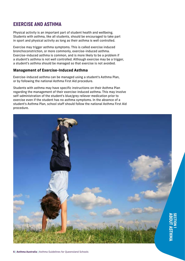## <span id="page-5-0"></span>EXERCISE AND ASTHMA

Physical activity is an important part of student health and wellbeing. Students with asthma, like all students, should be encouraged to take part in sport and physical activity as long as their asthma is well controlled.

Exercise may trigger asthma symptoms. This is called exercise induced bronchoconstriction, or more commonly, exercise-induced asthma. Exercise-induced asthma is common, and is more likely to be a problem if a student's asthma is not well controlled. Although exercise may be a trigger, a student's asthma should be managed so that exercise is not avoided.

## **Management of Exercise-Induced Asthma**

Exercise-induced asthma can be managed using a student's Asthma Plan, or by following the national Asthma First Aid procedure.

Students with asthma may have specific instructions on their Asthma Plan regarding the management of their exercise-induced asthma. This may involve self-administration of the student's blue/grey reliever medication prior to exercise even if the student has no asthma symptoms. In the absence of a student's Asthma Plan, school staff should follow the national Asthma First Aid procedure.

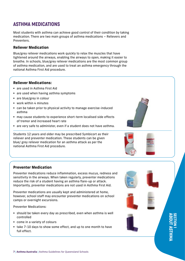## <span id="page-6-0"></span>ASTHMA MEDICATIONS

Most students with asthma can achieve good control of their condition by taking medication. There are two main groups of asthma medications – Relievers and Preventers.

## **Reliever Medication**

Blue/grey reliever medications work quickly to relax the muscles that have tightened around the airways, enabling the airways to open, making it easier to breathe. In schools, blue/grey reliever medications are the most common group of asthma medication, and are used to treat an asthma emergency through the national Asthma First Aid procedure.

## **Reliever Medications:**

- are used in Asthma First Aid
- are used when having asthma symptoms
- are blue/grey in colour
- § work within 4 minutes
- can be taken prior to physical activity to manage exercise-induced asthma
- may cause students to experience short-term localised side effects of tremor and increased heart rate
- § are very safe to administer, even if a student does not have asthma.

Students 12 years and older may be prescribed Symbicort as their reliever and preventer medication. These students can be given blue/ grey reliever medication for an asthma attack as per the national Asthma First Aid procedure.

## **Preventer Medication**

Preventer medications reduce inflammation, excess mucus, redness and sensitivity in the airways. When taken regularly, preventer medications reduce the risk of a student having an asthma flare-up or attack. Importantly, preventer medications are not used in Asthma First Aid.

Preventer medications are usually kept and administered at home, however, school staff may encounter preventer medications on school camps or overnight excursions.

Preventer Medications:

- should be taken every day as prescribed, even when asthma is well controlled
- come in a variety of colours
- take 7-10 days to show some effect, and up to one month to have full effect.





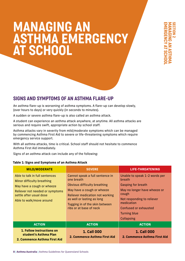## <span id="page-7-0"></span>MANAGING AN ASTHMA EMERGENCY AT SCHOOL

## SIGNS AND SYMPTOMS OF AN ASTHMA FLARE-UP

An asthma flare-up is worsening of asthma symptoms. A flare-up can develop slowly, (over hours to days) or very quickly (in seconds to minutes).

A sudden or severe asthma flare-up is also called an asthma attack.

A student can experience an asthma attack anywhere, at anytime. All asthma attacks are serious and require swift, appropriate action by school staff.

Asthma attacks vary in severity from mild/moderate symptoms which can be managed by commencing Asthma First Aid to severe or life-threatening symptoms which require emergency service support.

With all asthma attacks, time is critical. School staff should not hesitate to commence Asthma First Aid immediately.

Signs of an asthma attack can include any of the following:

#### **Table 1: Signs and Symptoms of an Asthma Attack**

| <b>MILD/MODERATE</b>                                                                                                                                                                 | <b>SEVERE</b>                                                                                                                                                                                                                                           | LIFE-THREATENING                                                                                                                                                                                                               |  |
|--------------------------------------------------------------------------------------------------------------------------------------------------------------------------------------|---------------------------------------------------------------------------------------------------------------------------------------------------------------------------------------------------------------------------------------------------------|--------------------------------------------------------------------------------------------------------------------------------------------------------------------------------------------------------------------------------|--|
| Able to talk in full sentences<br>Minor difficulty breathing<br>May have a cough or wheeze<br>Reliever not needed or symptoms<br>settle after usual dose<br>Able to walk/move around | Cannot speak a full sentence in<br>one breath<br><b>Obvious difficulty breathing</b><br>May have a cough or wheeze<br><b>Reliever medication not working</b><br>as well or lasting as long<br>Tugging in of the skin between<br>ribs or at base of neck | Unable to speak 1-2 words per<br>breath<br><b>Gasping for breath</b><br>May no longer have wheeze or<br>cough<br>Not responding to reliever<br>medication<br>Confused or exhausted<br><b>Turning blue</b><br><b>Collapsing</b> |  |
| <b>ACTION</b>                                                                                                                                                                        | <b>ACTION</b>                                                                                                                                                                                                                                           | <b>ACTION</b>                                                                                                                                                                                                                  |  |
| <b>1. Follow instructions on</b><br>student's Asthma Plan<br>2. Commence Asthma First Aid                                                                                            | <b>1. Call 000</b><br>2. Commence Asthma First Aid                                                                                                                                                                                                      | <b>1. Call 000</b><br>2. Commence Asthma First Aid                                                                                                                                                                             |  |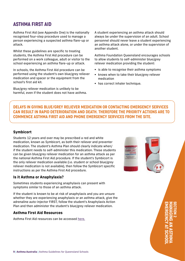## <span id="page-8-0"></span>ASTHMA FIRST AID

Asthma First Aid (see Appendix One) is the nationally recognised four-step procedure used to manage a person experiencing a suspected asthma flare-up or attack.

Whilst these guidelines are specific to treating students, the Asthma First Aid procedure can be performed on a work colleague, adult or visitor to the school experiencing an asthma flare-up or attack.

In schools, the Asthma First Aid procedure can be performed using the student's own blue/grey reliever medication and spacer or the equipment from the school's first aid kit.

Blue/grey reliever medication is unlikely to be harmful, even if the student does not have asthma. A student experiencing an asthma attack should always be under the supervision of an adult. School personnel should never leave a student experiencing an asthma attack alone, or under the supervision of another student.

Asthma Foundation Queensland encourages schools to allow students to self-administer blue/grey reliever medication providing the student:

- is able to recognise their asthma symptoms
- knows when to take their blue/grey reliever medication
- has correct inhaler technique.

DELAYS IN GIVING BLUE/GREY RELIEVER MEDICATION OR CONTACTING EMERGENCY SERVICES CAN RESULT IN RAPID DETERIORATION AND DEATH. THEREFORE THE PRIORITY ACTIONS ARE TO COMMENCE ASTHMA FIRST AID AND PHONE EMERGENCY SERVICES FROM THE SITE.

## **Symbicort**

Students 12 years and over may be prescribed a red and white medication, known as Symbicort, as both their reliever and preventer medication. The student's Asthma Plan should clearly indicate when/ if the student needs to self-administer this medication. These students can be given blue/grey reliever medication for an asthma attack as per the national Asthma First Aid procedure. If the student's Symbicort is the only reliever medication available (i.e. student or school blue/grey reliever medication is not available), then follow the Symbicort specific instructions as per the Asthma First Aid procedure.

## **Is it Asthma or Anaphylaxis?**

Sometimes students experiencing anaphylaxis can present with symptoms similar to those of an asthma attack.

If the student is known to be at risk of anaphylaxis and you are unsure whether they are experiencing anaphylaxis or an asthma attack, give the adrenaline auto-injector FIRST, follow the student's Anaphylaxis Action Plan and then administer the student's blue/grey reliever medication.

## **Asthma First Aid Resources**

Asthma First Aid resources can be accessed [here.](https://www.asthmaaustralia.org.au/qld/about-asthma/resources)



EMERGENCY AT SCHOOL MANAGING AN ASTHMA SECTION 2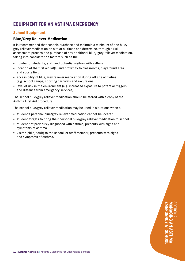## <span id="page-9-0"></span>EQUIPMENT FOR AN ASTHMA EMERGENCY

## **School Equipment**

## **Blue/Grey Reliever Medication**

It is recommended that schools purchase and maintain a minimum of one blue/ grey reliever medication on site at all times and determine, through a risk assessment process, the purchase of any additional blue/ grey reliever medication, taking into consideration factors such as the:

- § number of students, staff and potential visitors with asthma
- location of the first aid kit(s) and proximity to classrooms, playground area and sports field
- § accessibility of blue/grey reliever medication during off site activities (e.g. school camps, sporting carnivals and excursions)
- § level of risk in the environment (e.g. increased exposure to potential triggers and distance from emergency services).

The school blue/grey reliever medication should be stored with a copy of the Asthma First Aid procedure.

The school blue/grey reliever medication may be used in situations when a:

- § student's personal blue/grey reliever medication cannot be located
- § student forgets to bring their personal blue/grey reliever medication to school
- § student not previously diagnosed with asthma, presents with signs and symptoms of asthma
- visitor (child/adult) to the school, or staff member, presents with signs and symptoms of asthma.

## EMERGENCY AT SCHOOL MANAGING AN ASTHMA SECTION 2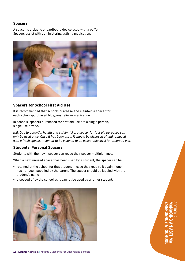## **Spacers**

A spacer is a plastic or cardboard device used with a puffer. Spacers assist with administering asthma medication.



## **Spacers for School First Aid Use**

It is recommended that schools purchase and maintain a spacer for each school-purchased blue/grey reliever medication.

In schools, spacers purchased for first aid use are a single person, single use device.

*N.B. Due to potential health and safety risks, a spacer for first aid purposes can only be used once. Once it has been used, it should be disposed of and replaced with a fresh spacer. It cannot to be cleaned to an acceptable level for others to use.* 

## **Students' Personal Spacers**

Students with their own spacer can reuse their spacer multiple times.

When a new, unused spacer has been used by a student, the spacer can be:

- retained at the school for that student in case they require it again if one has not been supplied by the parent. The spacer should be labeled with the student's name
- § disposed of by the school as it cannot be used by another student.



EMERGENCY AT SCHOOL MANAGING AN ASTHMA SECTION 2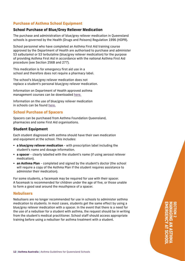## <span id="page-11-0"></span>**Purchase of Asthma School Equipment**

## **School Purchase of Blue/Grey Reliever Medication**

The purchase and administration of blue/grey reliever medication in Queensland schools is governed by the Health (Drugs and Poisons) Regulation 1996 (HDPR).

School personnel who have completed an Asthma First Aid training course approved by the Department of Health are authorised to purchase and administer S3 salbutamol or S3 terbutaline (blue/grey reliever medication) for the purpose of providing Asthma First Aid in accordance with the national Asthma First Aid procedure (see Section 256B and 277).

This medication is for emergency first aid use in a school and therefore does not require a pharmacy label.

The school's blue/grey reliever medication does not replace a student's personal blue/grey reliever medication.

Information on Department of Health approved asthma management courses can be downloaded [here.](https://www.health.qld.gov.au/__data/assets/pdf_file/0030/443685/fs-31-asthma-courses.pdf)

Information on the use of blue/grey reliever medication in schools can be found [here.](https://www.health.qld.gov.au/__data/assets/pdf_file/0020/443801/fs-25-asthma-first-aid.pdf)

## **School Purchase of Spacers**

Spacers can be purchased from Asthma Foundation Queensland, pharmacies and some First Aid organisations.

## **Student Equipment**

Each student diagnosed with asthma should have their own medication and equipment at the school. This includes:

- § **a blue/grey reliever medication**  with prescription label including the student's name and dosage information.
- **a spacer** clearly labelled with the student's name (if using aerosol reliever medication).
- **an Asthma Plan** completed and signed by the student's doctor (the school will require a copy of the Asthma Plan if the student requires assistance to administer their medication).

For some students, a facemask may be required for use with their spacer. A facemask is recommended for children under the age of five, or those unable to form a good seal around the mouthpiece of a spacer.

## **Nebulisers**

Nebulisers are no longer recommended for use in schools to administer asthma medication to students. In most cases, students get the same effect by using a blue/grey reliever medication with a spacer. In the event that there is a need for the use of a nebuliser for a student with asthma, the request should be in writing from the student's medical practitioner. School staff should access appropriate training before using a nebuliser for asthma treatment with a student.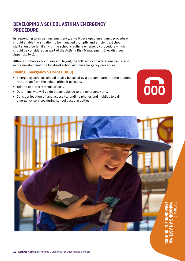## <span id="page-12-0"></span>DEVELOPING A SCHOOL ASTHMA EMERGENCY **PROCEDURE**

In responding to an asthma emergency, a well-developed emergency procedure should enable the situation to be managed promptly and efficiently. School staff should be familiar with the school's asthma emergency procedure which should be considered as part of the Asthma Risk Management Checklist (see Appendix Two).

Although schools vary in size and layout, the following considerations can assist in the development of a localised school asthma emergency procedure.

## **Dialing Emergency Services (000)**

- § Emergency services should ideally be called by a person nearest to the student rather than from the school office if possible.
- § Tell the operator 'asthma attack'.
- § Determine who will guide the ambulance to the emergency site.
- § Consider location of, and access to, landline phones and mobiles to call emergency services during school based activities.



000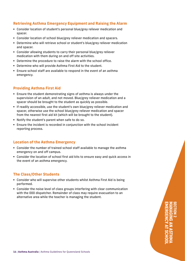## **Retrieving Asthma Emergency Equipment and Raising the Alarm**

- Consider location of student's personal blue/grey reliever medication and spacer.
- Consider location of school blue/grey reliever medication and spacers.
- § Determine who will retrieve school or student's blue/grey reliever medication and spacer.
- § Consider allowing students to carry their personal blue/grey reliever medication with them during on and off site activities.
- § Determine the procedure to raise the alarm with the school office.
- § Determine who will provide Asthma First Aid to the student.
- Ensure school staff are available to respond in the event of an asthma emergency.

## **Providing Asthma First Aid**

- Ensure the student demonstrating signs of asthma is always under the supervision of an adult, and not moved. Blue/grey reliever medication and a spacer should be brought to the student as quickly as possible.
- § If readily accessible, use the student's own blue/grey reliever medication and spacer, otherwise use the school blue/grey reliever medication and spacer from the nearest first aid kit (which will be brought to the student).
- § Notify the student's parent when safe to do so.
- Ensure the incident is recorded in conjunction with the school incident reporting process.

## **Location of the Asthma Emergency**

- § Consider the number of trained school staff available to manage the asthma emergency on and off campus.
- § Consider the location of school first aid kits to ensure easy and quick access in the event of an asthma emergency.

## **The Class/Other Students**

- § Consider who will supervise other students whilst Asthma First Aid is being performed.
- Consider the noise level of class groups interfering with clear communication with the 000 dispatcher. Remainder of class may require evacuation to an alternative area while the teacher is managing the student.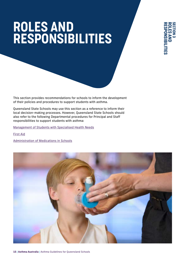## ROLES AND RESPONSIBILITIES

This section provides recommendations for schools to inform the development of their policies and procedures to support students with asthma.

Queensland State Schools may use this section as a reference to inform their local decision-making processes. However, Queensland State Schools should also refer to the following Departmental procedures for Principal and Staff responsibilities to support students with asthma:

[Management of Students with Specialised Health Needs](http://ppr.det.qld.gov.au/education/management/Pages/Management-of-Students-with-Specialised-Health-Needs.aspx)

[First Aid](http://ppr.det.qld.gov.au/corp/hr/workplace/Pages/First-Aid.aspx)

[Administration of Medications in Schools](http://ppr.det.qld.gov.au/education/management/Pages/Administration-of-Medications-in-Schools.aspx)

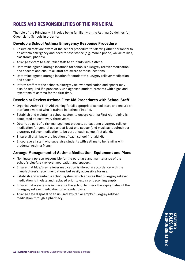## <span id="page-15-0"></span>ROLES AND RESPONSIBILITIES OF THE PRINCIPAL

The role of the Principal will involve being familiar with the Asthma Guidelines for Queensland Schools in order to:

## **Develop a School Asthma Emergency Response Procedure**

- Ensure all staff are aware of the school procedure for alerting other personnel to an asthma emergency and need for assistance (e.g. mobile phone, walkie talkies, classroom, phones).
- § Arrange system to alert relief staff to students with asthma.
- § Determine agreed storage locations for school's blue/grey reliever medication and spacers and ensure all staff are aware of these locations.
- Determine agreed storage location for students' blue/grey reliever medication and spacer.
- Inform staff that the school's blue/grey reliever medication and spacer may also be required if a previously undiagnosed student presents with signs and symptoms of asthma for the first time.

## **Develop or Review Asthma First Aid Procedures with School Staff**

- § Organise Asthma First Aid training for all appropriate school staff, and ensure all staff are aware of who is trained in Asthma First Aid.
- Establish and maintain a school system to ensure Asthma First Aid training is completed at least every three years.
- Obtain, as part of a risk management process, at least one blue/grey reliever medication for general use and at least one spacer (and mask as required) per blue/grey reliever medication to be part of each school first aid kit.
- § Ensure all staff know the location of each school first aid kit.
- § Encourage all staff who supervise students with asthma to be familiar with students' Asthma Plans.

## **Arrange Management of Asthma Medication, Equipment and Plans**

- § Nominate a person responsible for the purchase and maintenance of the school's blue/grey reliever medication and spacers.
- Ensure that blue/grey reliever medication is stored in accordance with the manufacturer's recommendations but easily accessible for use.
- § Establish and maintain a school system which ensures that blue/grey reliever medication is in-date and replaced prior to expiry or becoming empty.
- § Ensure that a system is in place for the school to check the expiry dates of the blue/grey reliever medication on a regular basis.
- § Arrange safe disposal of an unused expired or empty blue/grey reliever medication through a pharmacy.

RESPONSIBILITIES ROLES AND SECTION 3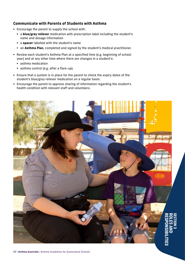## **Communicate with Parents of Students with Asthma**

- § Encourage the parent to supply the school with:
	- § a **blue/grey reliever** medication with prescription label including the student's name and dosage information
	- § a **spacer** labelled with the student's name
	- § an **Asthma Plan**, completed and signed by the student's medical practitioner.
- § Review each student's Asthma Plan at a specified time (e.g. beginning of school year) and at any other time where there are changes in a student's:
	- asthma medication
	- asthma control (e.g. after a flare-up).
- § Ensure that a system is in place for the parent to check the expiry dates of the student's blue/grey reliever medication on a regular basis.
- § Encourage the parent to approve sharing of information regarding the student's health condition with relevant staff and volunteers.

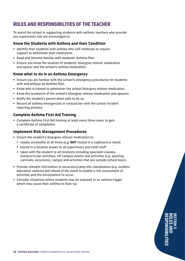## <span id="page-17-0"></span>ROLES AND RESPONSIBILITIES OF THE TEACHER

To assist the school in supporting students with asthma, teachers who provide any supervisory role are encouraged to:

## **Know the Students with Asthma and their Condition**

- § Identify their students with asthma who self-medicate or require support to administer their medication.
- Read and become familiar with students' Asthma Plan.
- Ensure you know the location of students' blue/grey reliever medication and spacer and the school's asthma medication.

## **Know what to do in an Asthma Emergency**

- Ensure you are familiar with the school's emergency procedures for students with and without an Asthma Plan.
- § Know who is trained to administer the school blue/grey reliever medication.
- § Know the location/s of the school's blue/grey reliever medication and spacers.
- § Notify the student's parent when safe to do so.
- § Record all asthma emergencies in conjunction with the school incident reporting process.

## **Complete Asthma First Aid Training**

§ Complete Asthma First Aid training at least every three years to gain a certificate of completion.

## **Implement Risk Management Procedures**

- **Ensure the student's blue/grey reliever medication is:** 
	- readily accessible at all times (e.g. NOT locked in a cupboard or room)
	- stored in a location known to all supervisory and relief staff
	- taken with the student to all locations including specialist classes, extracurricular activities, off campus events and activities (e.g. sporting carnivals, excursions, camps) and activities that are outside school hours.
- § Provide relevant information to excursion/camp site coordinators (e.g. outdoor education centres) well ahead of the event to enable a risk assessment of activities and the environment to occur.
- § Consider situations where students may be exposed to an asthma trigger which may cause their asthma to flare-up.

RESPONSIBILITIES ROLES AND SECTION 3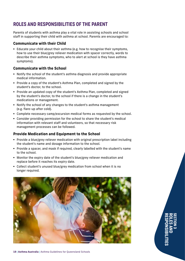## <span id="page-18-0"></span>ROLES AND RESPONSIBILITIES OF THE PARENT

Parents of students with asthma play a vital role in assisting schools and school staff in supporting their child with asthma at school. Parents are encouraged to:

## **Communicate with their Child**

■ Educate your child about their asthma (e.g. how to recognise their symptoms, how to use their blue/grey reliever medication with spacer correctly, words to describe their asthma symptoms, who to alert at school is they have asthma symptoms).

## **Communicate with the School**

- § Notify the school of the student's asthma diagnosis and provide appropriate medical information.
- § Provide a copy of the student's Asthma Plan, completed and signed by the student's doctor, to the school.
- § Provide an updated copy of the student's Asthma Plan, completed and signed by the student's doctor, to the school if there is a change in the student's medications or management.
- § Notify the school of any changes to the student's asthma management (e.g. flare-up after cold).
- § Complete necessary camp/excursion medical forms as requested by the school.
- § Consider providing permission for the school to share the student's medical information with relevant staff and volunteers, so that necessary risk management processes can be followed.

## **Provide Medication and Equipment to the School**

- § Provide a blue/grey reliever medication with original prescription label including the student's name and dosage information to the school.
- § Provide a spacer, and mask if required, clearly labelled with the student's name to the school.
- § Monitor the expiry date of the student's blue/grey reliever medication and replace before it reaches its expiry date.
- Collect student's unused blue/grey medication from school when it is no longer required.



RESPONSIBILITIES ROLES AND SECTION 3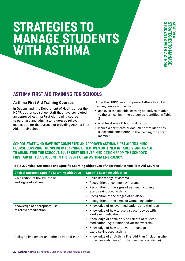## <span id="page-19-0"></span>STRATEGIES TO MANAGE STUDENTS WITH ASTHMA

## ASTHMA FIRST AID TRAINING FOR SCHOOLS

## **Asthma First Aid Training Courses**

In Queensland, the Department of Health, under the HDPR, authorises school staff that have completed an approved Asthma First Aid training course to purchase and administer blue/grey reliever medication for the purpose of providing Asthma First Aid at their school.

Under the HDPR, an appropriate Asthma First Aid training course is one that:

- achieves the specific learning objectives relative to the critical learning outcomes identified in Table  $\mathfrak{p}$
- is at least one (1) hour in duration
- issues a certificate or document that identifies successful completion of the training for a staff member.

## SCHOOL STAFF WHO HAVE NOT COMPLETED AN APPROVED ASTHMA FIRST AID TRAINING COURSE COVERING THE SPECIFIC LEARNING OBJECTIVES OUTLINED IN TABLE 2, ARE UNABLE TO ADMINISTER THE SCHOOL'S BLUE/ GREY RELIEVER MEDICATION FROM THE SCHOOL'S FIRST AID KIT TO A STUDENT IN THE EVENT OF AN ASTHMA EMERGENCY.

| <b>Critical Outcome Specific Learning Objective</b> | <b>Specific Learning Objective</b>                                                                           |  |  |
|-----------------------------------------------------|--------------------------------------------------------------------------------------------------------------|--|--|
| Recognition of the symptoms                         | • Basic knowledge of asthma                                                                                  |  |  |
| and signs of asthma                                 | • Recognition of common symptoms                                                                             |  |  |
|                                                     | Recognition of the signs of asthma including<br>exercise-induced asthma                                      |  |  |
|                                                     | • Recognition of the stages of an attack                                                                     |  |  |
|                                                     | • Recognition of the signs of worsening asthma                                                               |  |  |
| Knowledge of appropriate use                        | Knowledge of reliever medications and their use                                                              |  |  |
| of reliever medication                              | Knowledge of how to use a spacer device with<br>a reliever medication                                        |  |  |
|                                                     | • Knowledge of common side effects of reliever<br>medication (e.g. tremor and /or tachycardia)               |  |  |
|                                                     | Knowledge of how to prevent / manage<br>exercise-induced asthma                                              |  |  |
| Ability to implement an Asthma First Aid Plan       | • Knowledge of an Asthma First Aid Plan (including when<br>to call an ambulance/ further medical assistance) |  |  |

## **Table 2. Critical Outcomes and Specific Learning Objectives of Approved Asthma First Aid Courses**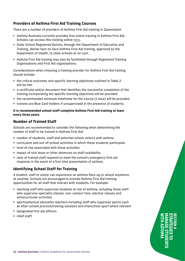## **Providers of Asthma First Aid Training Courses**

There are a number of providers of Asthma First Aid training in Queensland.

- § Asthma Australia currently provides free online training in Asthma First Aid. Schools can access this training online [here.](https://asthma.org.au/what-we-do/training/)
- State School Registered Nurses, through the Department of Education and Training, deliver face-to-face Asthma First Aid training, approved by the Department of Health, to state schools at no cost.
- § Asthma First Aid training may also be facilitated through Registered Training Organisations and First Aid organisations.

Considerations when choosing a training provider for Asthma First Aid training should include:

- § the critical outcomes and specific learning objectives outlined in Table 2 will be met
- a certificate and/or document that identifies the successful completion of the training incorporating the specific learning objectives will be provided
- § the recommended minimum timeframe for the course (1 hour) will be provided
- trainers are Blue Card holders if unsupervised in the presence of students.

## **It is recommended school staff complete Asthma First Aid training at least every three years.**

## **Number of Trained Staff**

Schools are recommended to consider the following when determining the number of staff to be trained in Asthma First Aid:

- § number of students, staff and potential school visitors with asthma
- § curriculum and out-of-school activities in which these students participate
- level of risk associated with these activities
- impact of sick leave or other absences on staff availability
- ratio of trained staff required to meet the school's emergency first aid response in the event of a first time presentation of asthma.

## **Identifying School Staff for Training**

A student, staff or visitor can experience an asthma flare-up or attack anywhere, at anytime. Schools are encouraged to provide Asthma First Aid training opportunities for all staff that interact with students. For example:

- § teaching staff who supervise students at risk of asthma, including those staff who supervise specialist classes, non-contact time, elective classes and extracurricular activities
- § sports/physical education teachers including staff who supervise sports such as after-school practice/training sessions and interschool sport where relevant
- designated first aid officers
- relief staff.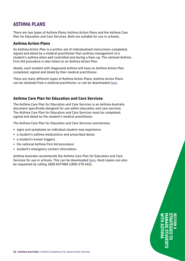## <span id="page-21-0"></span>ASTHMA PLANS

There are two types of Asthma Plans: Asthma Action Plans and the Asthma Care Plan for Education and Care Services. Both are suitable for use in schools.

## **Asthma Action Plans**

An Asthma Action Plan is a written set of individualised instructions completed, signed and dated by a medical practitioner that outlines management of a student's asthma when well controlled and during a flare-up. The national Asthma First Aid procedure is also listed on an Asthma Action Plan.

Ideally, each student with diagnosed asthma will have an Asthma Action Plan completed, signed and dated by their medical practitioner.

There are many different types of Asthma Action Plans. Asthma Action Plans can be obtained from a medical practitioner, or can be downloaded [here.](https://asthma.org.au/about-asthma/how-we-can-help/1800-asthma/)

## **Asthma Care Plan for Education and Care Services**

The Asthma Care Plan for Education and Care Services is an Asthma Australia document specifically designed for use within education and care services. The Asthma Care Plan for Education and Care Services must be completed, signed and dated by the student's medical practitioner.

The Asthma Care Plan for Education and Care Services summarises:

- § signs and symptoms an individual student may experience
- § a student's asthma medications and prescribed doses
- a student's known triggers
- the national Asthma First Aid procedure
- § student's emergency contact information.

Asthma Australia recommends the Asthma Care Plan for Education and Care Services for use in schools. This can be downloaded [here.](https://asthma.org.au/wp-content/uploads/About_Asthma/Schools/AACPED2018-Care-Plan-for-Schools-A4_2019.pdf) Hard copies can also be requested by calling 1800 ASTHMA (1800 278 462).

> WITH ASTHMA MANAGE STUDENTS STRATEGIES TO SECTION 4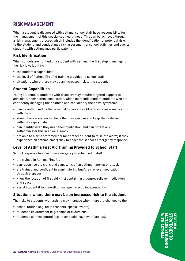## <span id="page-22-0"></span>RISK MANAGEMENT

When a student is diagnosed with asthma, school staff have responsibility for the management of this specialised health need. This can be achieved through a risk management process which includes the identification of potential risks to the student, and conducting a risk assessment of school activities and events students with asthma may participate in.

## **Risk Identification**

When schools are notified of a student with asthma, the first step in managing the risk is to identify:

- the student's capabilities
- the level of Asthma First Aid training provided to school staff
- situations where there may be an increased risk to the student.

## **Student Capabilities**

Young students or students with disability may require targeted support to administer their asthma medication. Older, more independent students who are confidently managing their asthma and can identify their own symptoms:

- § can be authorised by the Principal to carry their blue/grey reliever medication with them
- should have a system to check their dosage use and keep their reliever within its expiry date
- can identify when they need their medication and can potentially selfadminister this in an emergency
- § are able to alert a staff member (or another student to raise the alarm) if they experience an asthma emergency to enact the school's emergency response.

## **Level of Asthma First Aid Training Provided to School Staff**

School response to an asthma emergency is enhanced if staff:

- are trained in Asthma First Aid
- can recognise the signs and symptoms of an asthma flare-up or attack
- § are trained and confident in administering bue/grey reliever medication through a spacer
- know the location of first aid kit(s) containing blue/grey reliever medication and spacer
- § assist student if too unwell to manage flare-up independently.

## **Situations where there may be an increased risk to the student**

The risks to students with asthma may increase when there are changes to the:

- § school routine (e.g. relief teachers, special events)
- § student's environment (e.g. camps or excursions)
- § student's asthma control (e.g. recent cold, hay fever flare-up).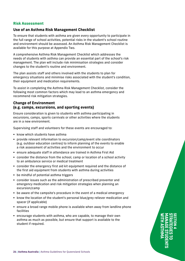## <span id="page-23-0"></span>**Risk Assessment**

## **Use of an Asthma Risk Management Checklist**

To ensure that students with asthma are given every opportunity to participate in the full range of school activities, potential risks in the student's school routine and environment should be assessed. An Asthma Risk Management Checklist is available for this purpose at Appendix Two.

A comprehensive Asthma Risk Management Checklist which addresses the needs of students with asthma can provide an essential part of the school's risk management. The plan will include risk minimisation strategies and consider changes to the student's routine and environment.

The plan assists staff and others involved with the students to plan for emergency situations and minimise risks associated with the student's condition, their equipment and medication requirements.

To assist in completing the Asthma Risk Management Checklist, consider the following most common factors which may lead to an asthma emergency and recommend risk mitigation strategies.

## **Change of Environment (e.g. camps, excursions, and sporting events)**

Ensure consideration is given to students with asthma participating in excursions, camps, sports carnivals or other activities where the students are in a new environment.

Supervising staff and volunteers for these events are encouraged to:

- § know which students have asthma
- § provide relevant information to excursion/camp/event site coordinators (e.g. outdoor education centres) to inform planning of the events to enable a risk assessment of activities and the environment to occur
- ensure adequate staff in attendance are trained in Asthma First Aid
- consider the distance from the school, camp or location of a school activity to an ambulance service or medical treatment
- § consider the emergency first aid kit equipment required and the distance of the first aid equipment from students with asthma during activities
- be mindful of potential asthma triggers
- § consider issues such as the administration of prescribed preventer and emergency medication and risk mitigation strategies when planning an excursion/camp
- § be aware of the campsite's procedure in the event of a medical emergency
- know the location of the student's personal blue/grey reliever medication and spacer (if applicable)
- § ensure a broad range mobile phone is available when away from landline phone facilities
- encourage students with asthma, who are capable, to manage their own asthma as much as possible, but ensure that support is available to the student if required.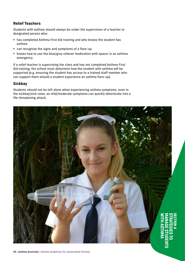## **Relief Teachers**

Students with asthma should always be under the supervision of a teacher or designated person who:

- § has completed Asthma First Aid training and who knows the student has asthma
- can recognise the signs and symptoms of a flare-up
- knows how to use the blue/grey reliever medication with spacer in an asthma emergency.

If a relief teacher is supervising the class and has not completed Asthma First Aid training, the school must determine how the student with asthma will be supported (e.g. ensuring the student has access to a trained staff member who can support them should a student experience an asthma flare-up).

## **Sickbay**

Students should not be left alone when experiencing asthma symptoms, even in the sickbay/sick room, as mild/moderate symptoms can quickly deteriorate into a life-threatening attack.

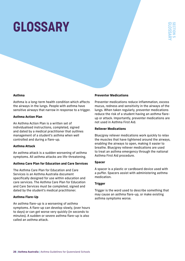# GLOSSARY



#### **Asthma**

Asthma is a long-term health condition which affects the airways in the lungs. People with asthma have sensitive airways that narrow in response to a trigger.

#### **Asthma Action Plan**

An Asthma Action Plan is a written set of individualised instructions, completed, signed and dated by a medical practitioner that outlines management of a student's asthma when well controlled and during a flare-up.

#### **Asthma Attack**

An asthma attack is a sudden worsening of asthma symptoms. All asthma attacks are life-threatening.

#### **Asthma Care Plan for Education and Care Services**

The Asthma Care Plan for Education and Care Services is an Asthma Australia document specifically designed for use within education and care services. The Asthma Care Plan for Education and Care Services must be completed, signed and dated by the student's medical practitioner.

#### **Asthma Flare-Up**

An asthma flare-up is a worsening of asthma symptoms. A flare-up can develop slowly, (over hours to days) or can get worse very quickly (in seconds to minutes). A sudden or severe asthma flare-up is also called an asthma attack.

#### **Preventer Medications**

Preventer medications reduce inflammation, excess mucus, redness and sensitivity in the airways of the lungs. When taken regularly, preventer medications reduce the risk of a student having an asthma flareup or attack. Importantly, preventer medications are not used in Asthma First Aid.

#### **Reliever Medications**

Blue/grey reliever medications work quickly to relax the muscles that have tightened around the airways, enabling the airways to open, making it easier to breathe. Blue/grey reliever medications are used to treat an asthma emergency through the national Asthma First Aid procedure.

#### **Spacer**

A spacer is a plastic or cardboard device used with a puffer. Spacers assist with administering asthma medication.

#### **Trigger**

Trigger is the word used to describe something that may cause an asthma flare-up, or make existing asthma symptoms worse.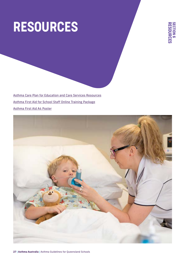# RESOURCES



[Asthma Care Plan for Education and Care Services Resources](https://asthma.org.au/wp-content/uploads/About_Asthma/Schools/AACPED2018-Care-Plan-for-Schools-A4_2019.pdf) [Asthma First Aid for School Staff Online Training Package](https://asthmaonline.org.au/shop/) [Asthma First Aid A4 Poster](https://asthma.org.au/wp-content/uploads/About_Asthma/First_Aid/AA_AsthmaFirstAid_2019.pdf)

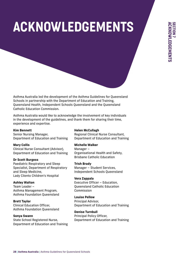# ACKNOWLEDGEMENTS

Asthma Australia led the development of the Asthma Guidelines for Queensland Schools in partnership with the Department of Education and Training, Queensland Health, Independent Schools Queensland and the Queensland Catholic Education Commission.

Asthma Australia would like to acknowledge the involvement of key individuals in the development of the guidelines, and thank them for sharing their time, experience and expertise.

#### **Kim Bennett**

Senior Nursing Manager, Department of Education and Training

## **Mary Collis**

Clinical Nurse Consultant (Advisor), Department of Education and Training

## **Dr Scott Burgess**

Paediatric Respiratory and Sleep Specialist, Department of Respiratory and Sleep Medicine, Lady Cilento Children's Hospital

## **Ashley Walton**

Team Leader – Asthma Management Program, Asthma Foundation Queensland

## **Brett Taylor**

Clinical Education Officer, Asthma Foundation Queensland

## **Sonya Swann**

State School Registered Nurse, Department of Education and Training

#### **Helen McCullagh**

Regional Clinical Nurse Consultant, Department of Education and Training

#### **Michelle Walker**

Manager – Organisational Health and Safety, Brisbane Catholic Education

#### **Trish Brady**

Manager – Student Services, Independent Schools Queensland

## **Vera Zappala**

Executive Officer – Education, Queensland Catholic Education Commission

## **Louise Pellow**

Principal Advisor, Department of Education and Training

## **Denise Turnbull**

Principal Policy Officer, Department of Education and Training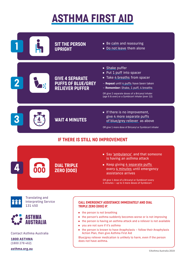## ASTHMA FIRST AID



**asthma.org.au**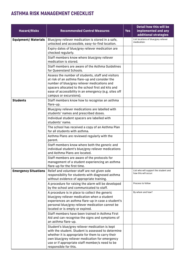## ASTHMA RISK MANAGEMENT CHECKLIST

| <b>Hazard/Risks</b>         | <b>Recommended Control Measures</b>                                                                                                                                                                                                                                                          | <b>Yes</b> | Detail how this will be<br>implemented and any<br>additional strategies |
|-----------------------------|----------------------------------------------------------------------------------------------------------------------------------------------------------------------------------------------------------------------------------------------------------------------------------------------|------------|-------------------------------------------------------------------------|
| <b>Equipment/ Materials</b> | Blue/grey reliever medication is stored in a safe,<br>unlocked and accessible, easy-to-find location.                                                                                                                                                                                        |            | List locations of blue/grey reliever<br>medication:                     |
|                             | Expiry dates of blue/grey reliever medication are<br>checked regularly.                                                                                                                                                                                                                      |            |                                                                         |
|                             | Staff members know where blue/grey reliever<br>medication is stored.                                                                                                                                                                                                                         |            |                                                                         |
|                             | Staff members are aware of the Asthma Guidelines<br>for Queensland Schools.                                                                                                                                                                                                                  |            |                                                                         |
|                             | Assess the number of students, staff and visitors<br>at risk of an asthma flare-up and consider the<br>number of blue/grey reliever medications and<br>spacers allocated to the school first aid kits and<br>ease of accessibility in an emergency (e.g. sites off<br>campus or excursions). |            |                                                                         |
| <b>Students</b>             | Staff members know how to recognise an asthma<br>flare-up.                                                                                                                                                                                                                                   |            |                                                                         |
|                             | Blue/grey reliever medications are labelled with<br>students' names and prescribed doses.                                                                                                                                                                                                    |            |                                                                         |
|                             | Individual student spacers are labelled with<br>students' name.                                                                                                                                                                                                                              |            |                                                                         |
|                             | The school has received a copy of an Asthma Plan<br>for all students with asthma.                                                                                                                                                                                                            |            |                                                                         |
|                             | Asthma Plans are reviewed regularly with the<br>parent.                                                                                                                                                                                                                                      |            |                                                                         |
|                             | Staff members know where both the generic and<br>individual student's blue/grey reliever medications<br>and Asthma Plans are located.                                                                                                                                                        |            |                                                                         |
|                             | Staff members are aware of the protocols for<br>management of a student experiencing an asthma<br>flare-up for the first time.                                                                                                                                                               |            |                                                                         |
| <b>Emergency Situations</b> | Relief and volunteer staff are not given sole<br>responsibility for students with diagnosed asthma<br>without evidence of appropriate training.                                                                                                                                              |            | List who will support the student and<br>how this will occur:           |
|                             | A procedure for raising the alarm will be developed<br>by the school and communicated to staff.                                                                                                                                                                                              |            | Process to follow                                                       |
|                             | A procedure is in place to collect the generic<br>blue/grey reliever medication when a student<br>experiences an asthma flare-up in case a student's<br>personal blue/grey reliever medication cannot be<br>located or is empty or expired.                                                  |            | By whom and how?                                                        |
|                             | Staff members have been trained in Asthma First<br>Aid and can recognise the signs and symptoms of<br>an asthma flare-up.                                                                                                                                                                    |            |                                                                         |
|                             | Student's blue/grey reliever medication is kept<br>with the student. Student is assessed to determine<br>whether it is appropriate for them to carry their<br>own blue/grey reliever medication for emergency<br>use or if appropriate staff member/s need to be<br>responsible for this.    |            |                                                                         |